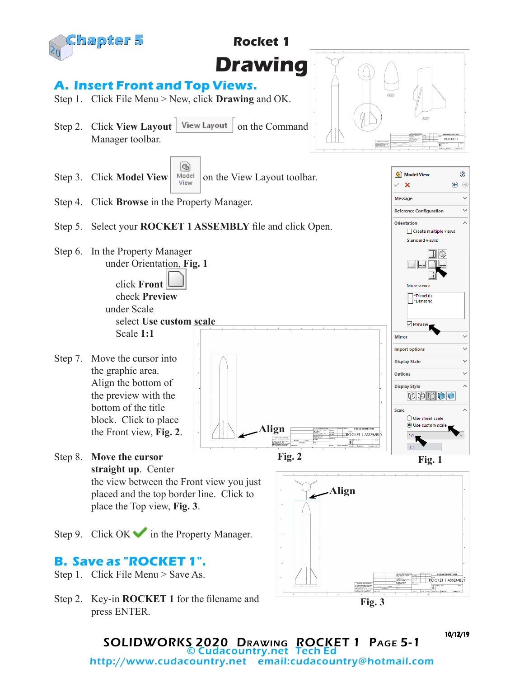

SOLIDWORKS 2020 Drawing ROCKET 1 Page 5-1 Cudacountry.net Tech Ed

http://www.cudacountry.net email:cudacountry@hotmail.com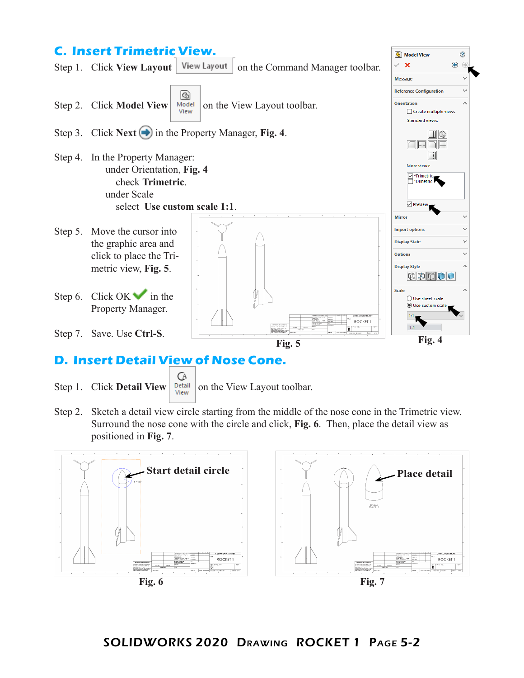

Ċ.

×

Ü

 $\lambda$ 

## **D. Insert Detail View of Nose Cone.**

**GA** 

Step 1. Click **Detail View**  $\left| \frac{\text{Det } \text{diff}}{\text{View}} \right|$  on the View Layout toolbar.

Step 2. Sketch a detail view circle starting from the middle of the nose cone in the Trimetric view. Surround the nose cone with the circle and click, **Fig. 6**. Then, place the detail view as positioned in **Fig. 7**.

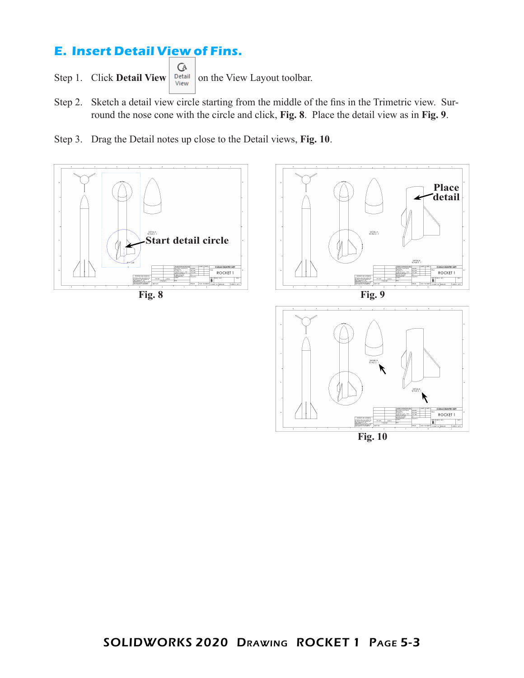## **E. Insert Detail View of Fins.**

- **GA** Step 1. Click **Detail View**  $\begin{array}{|c|c|c|c|}\n\hline\n\text{Neu} & \text{on the View Layout toolbox.}\n\end{array}$
- Step 2. Sketch a detail view circle starting from the middle of the fins in the Trimetric view. Surround the nose cone with the circle and click, **Fig. 8**. Place the detail view as in **Fig. 9**.
- Step 3. Drag the Detail notes up close to the Detail views, **Fig. 10**.









**Fig. 10**